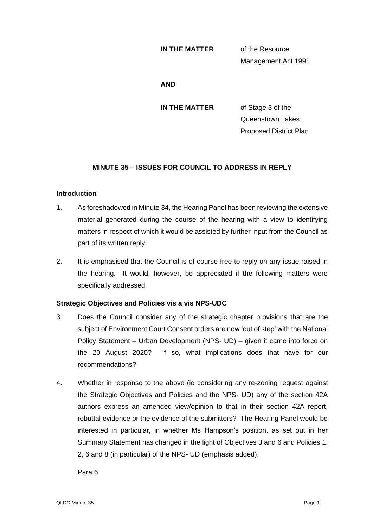#### **IN THE MATTER** of the Resource

Management Act 1991

#### **AND**

**IN THE MATTER** of Stage 3 of the Queenstown Lakes Proposed District Plan

# **MINUTE 35 – ISSUES FOR COUNCIL TO ADDRESS IN REPLY**

# **Introduction**

- 1. As foreshadowed in Minute 34, the Hearing Panel has been reviewing the extensive material generated during the course of the hearing with a view to identifying matters in respect of which it would be assisted by further input from the Council as part of its written reply.
- 2. It is emphasised that the Council is of course free to reply on any issue raised in the hearing. It would, however, be appreciated if the following matters were specifically addressed.

# **Strategic Objectives and Policies vis a vis NPS-UDC**

- 3. Does the Council consider any of the strategic chapter provisions that are the subject of Environment Court Consent orders are now 'out of step' with the National Policy Statement – Urban Development (NPS- UD) – given it came into force on the 20 August 2020? If so, what implications does that have for our recommendations?
- 4. Whether in response to the above (ie considering any re-zoning request against the Strategic Objectives and Policies and the NPS- UD) any of the section 42A authors express an amended view/opinion to that in their section 42A report, rebuttal evidence or the evidence of the submitters? The Hearing Panel would be interested in particular, in whether Ms Hampson's position, as set out in her Summary Statement has changed in the light of Objectives 3 and 6 and Policies 1, 2, 6 and 8 (in particular) of the NPS- UD (emphasis added).

Para 6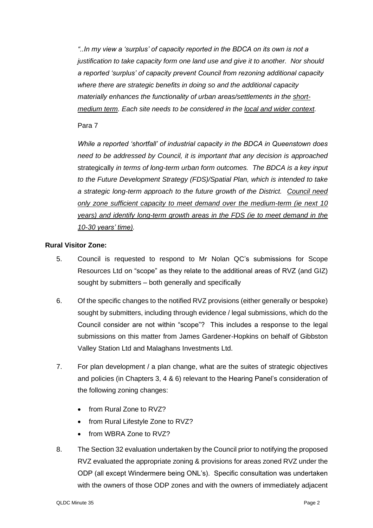*"..In my view a 'surplus' of capacity reported in the BDCA on its own is not a justification to take capacity form one land use and give it to another. Nor should a reported 'surplus' of capacity prevent Council from rezoning additional capacity where there are strategic benefits in doing so and the additional capacity materially enhances the functionality of urban areas/settlements in the shortmedium term. Each site needs to be considered in the local and wider context.* 

## Para 7

*While a reported 'shortfall' of industrial capacity in the BDCA in Queenstown does need to be addressed by Council, it is important that any decision is approached*  strategically *in terms of long-term urban form outcomes. The BDCA is a key input to the Future Development Strategy (FDS)/Spatial Plan, which is intended to take a strategic long-term approach to the future growth of the District. Council need only zone sufficient capacity to meet demand over the medium-term (ie next 10 years) and identify long-term growth areas in the FDS (ie to meet demand in the 10-30 years' time).* 

## **Rural Visitor Zone:**

- 5. Council is requested to respond to Mr Nolan QC's submissions for Scope Resources Ltd on "scope" as they relate to the additional areas of RVZ (and GIZ) sought by submitters – both generally and specifically
- 6. Of the specific changes to the notified RVZ provisions (either generally or bespoke) sought by submitters, including through evidence / legal submissions, which do the Council consider are not within "scope"? This includes a response to the legal submissions on this matter from James Gardener-Hopkins on behalf of Gibbston Valley Station Ltd and Malaghans Investments Ltd.
- 7. For plan development / a plan change, what are the suites of strategic objectives and policies (in Chapters 3, 4 & 6) relevant to the Hearing Panel's consideration of the following zoning changes:
	- from Rural Zone to RVZ?
	- from Rural Lifestyle Zone to RVZ?
	- from WBRA Zone to RVZ?
- 8. The Section 32 evaluation undertaken by the Council prior to notifying the proposed RVZ evaluated the appropriate zoning & provisions for areas zoned RVZ under the ODP (all except Windermere being ONL's). Specific consultation was undertaken with the owners of those ODP zones and with the owners of immediately adjacent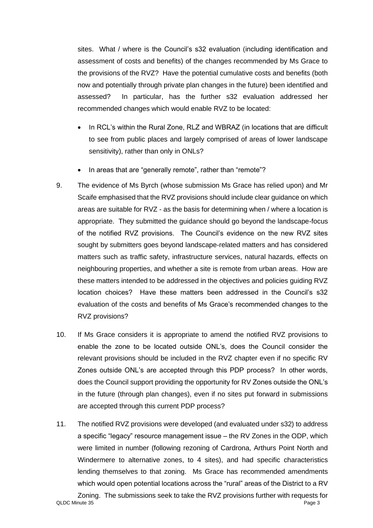sites. What / where is the Council's s32 evaluation (including identification and assessment of costs and benefits) of the changes recommended by Ms Grace to the provisions of the RVZ? Have the potential cumulative costs and benefits (both now and potentially through private plan changes in the future) been identified and assessed? In particular, has the further s32 evaluation addressed her recommended changes which would enable RVZ to be located:

- In RCL's within the Rural Zone, RLZ and WBRAZ (in locations that are difficult to see from public places and largely comprised of areas of lower landscape sensitivity), rather than only in ONLs?
- In areas that are "generally remote", rather than "remote"?
- 9. The evidence of Ms Byrch (whose submission Ms Grace has relied upon) and Mr Scaife emphasised that the RVZ provisions should include clear guidance on which areas are suitable for RVZ - as the basis for determining when / where a location is appropriate. They submitted the guidance should go beyond the landscape-focus of the notified RVZ provisions. The Council's evidence on the new RVZ sites sought by submitters goes beyond landscape-related matters and has considered matters such as traffic safety, infrastructure services, natural hazards, effects on neighbouring properties, and whether a site is remote from urban areas. How are these matters intended to be addressed in the objectives and policies guiding RVZ location choices? Have these matters been addressed in the Council's s32 evaluation of the costs and benefits of Ms Grace's recommended changes to the RVZ provisions?
- 10. If Ms Grace considers it is appropriate to amend the notified RVZ provisions to enable the zone to be located outside ONL's, does the Council consider the relevant provisions should be included in the RVZ chapter even if no specific RV Zones outside ONL's are accepted through this PDP process? In other words, does the Council support providing the opportunity for RV Zones outside the ONL's in the future (through plan changes), even if no sites put forward in submissions are accepted through this current PDP process?
- 11. The notified RVZ provisions were developed (and evaluated under s32) to address a specific "legacy" resource management issue – the RV Zones in the ODP, which were limited in number (following rezoning of Cardrona, Arthurs Point North and Windermere to alternative zones, to 4 sites), and had specific characteristics lending themselves to that zoning. Ms Grace has recommended amendments which would open potential locations across the "rural" areas of the District to a RV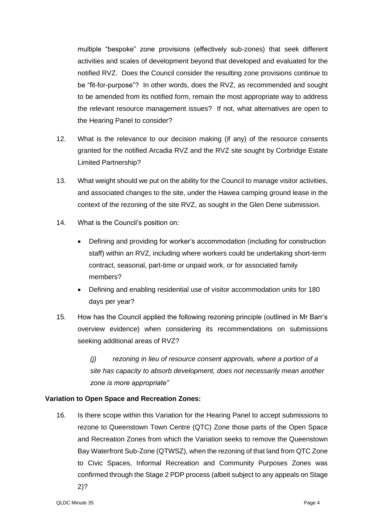multiple "bespoke" zone provisions (effectively sub-zones) that seek different activities and scales of development beyond that developed and evaluated for the notified RVZ. Does the Council consider the resulting zone provisions continue to be "fit-for-purpose"? In other words, does the RVZ, as recommended and sought to be amended from its notified form, remain the most appropriate way to address the relevant resource management issues? If not, what alternatives are open to the Hearing Panel to consider?

- 12. What is the relevance to our decision making (if any) of the resource consents granted for the notified Arcadia RVZ and the RVZ site sought by Corbridge Estate Limited Partnership?
- 13. What weight should we put on the ability for the Council to manage visitor activities, and associated changes to the site, under the Hawea camping ground lease in the context of the rezoning of the site RVZ, as sought in the Glen Dene submission.
- 14. What is the Council's position on:
	- Defining and providing for worker's accommodation (including for construction staff) within an RVZ, including where workers could be undertaking short-term contract, seasonal, part-time or unpaid work, or for associated family members?
	- Defining and enabling residential use of visitor accommodation units for 180 days per year?
- 15. How has the Council applied the following rezoning principle (outlined in Mr Barr's overview evidence) when considering its recommendations on submissions seeking additional areas of RVZ?

*(j) rezoning in lieu of resource consent approvals, where a portion of a site has capacity to absorb development, does not necessarily mean another zone is more appropriate"*

# **Variation to Open Space and Recreation Zones:**

16. Is there scope within this Variation for the Hearing Panel to accept submissions to rezone to Queenstown Town Centre (QTC) Zone those parts of the Open Space and Recreation Zones from which the Variation seeks to remove the Queenstown Bay Waterfront Sub-Zone (QTWSZ), when the rezoning of that land from QTC Zone to Civic Spaces, Informal Recreation and Community Purposes Zones was confirmed through the Stage 2 PDP process (albeit subject to any appeals on Stage 2)?